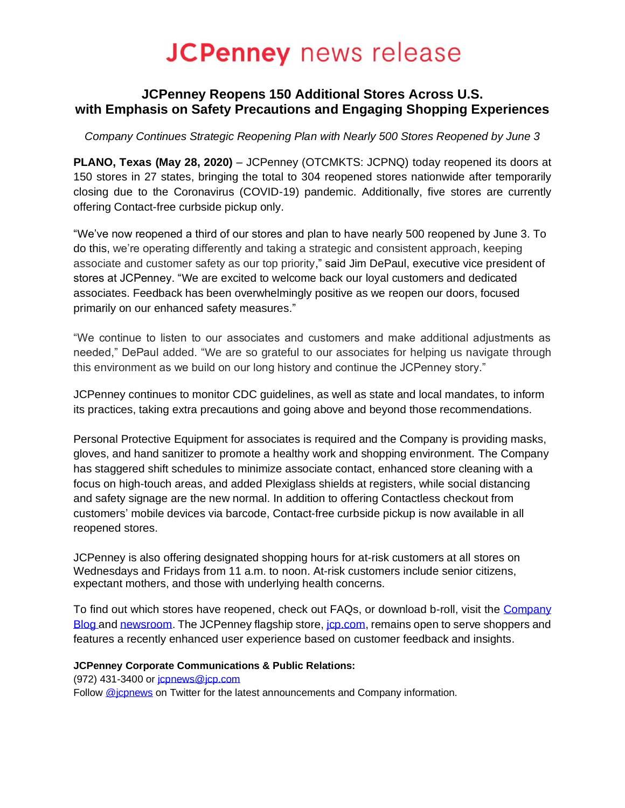# **JCPenney** news release

## **JCPenney Reopens 150 Additional Stores Across U.S. with Emphasis on Safety Precautions and Engaging Shopping Experiences**

*Company Continues Strategic Reopening Plan with Nearly 500 Stores Reopened by June 3*

**PLANO, Texas (May 28, 2020)** – JCPenney (OTCMKTS: JCPNQ) today reopened its doors at 150 stores in 27 states, bringing the total to 304 reopened stores nationwide after temporarily closing due to the Coronavirus (COVID-19) pandemic. Additionally, five stores are currently offering Contact-free curbside pickup only.

"We've now reopened a third of our stores and plan to have nearly 500 reopened by June 3. To do this, we're operating differently and taking a strategic and consistent approach, keeping associate and customer safety as our top priority," said Jim DePaul, executive vice president of stores at JCPenney. "We are excited to welcome back our loyal customers and dedicated associates. Feedback has been overwhelmingly positive as we reopen our doors, focused primarily on our enhanced safety measures."

"We continue to listen to our associates and customers and make additional adjustments as needed," DePaul added. "We are so grateful to our associates for helping us navigate through this environment as we build on our long history and continue the JCPenney story."

JCPenney continues to monitor CDC guidelines, as well as state and local mandates, to inform its practices, taking extra precautions and going above and beyond those recommendations.

Personal Protective Equipment for associates is required and the Company is providing masks, gloves, and hand sanitizer to promote a healthy work and shopping environment. The Company has staggered shift schedules to minimize associate contact, enhanced store cleaning with a focus on high-touch areas, and added Plexiglass shields at registers, while social distancing and safety signage are the new normal. In addition to offering Contactless checkout from customers' mobile devices via barcode, Contact-free curbside pickup is now available in all reopened stores.

JCPenney is also offering designated shopping hours for at-risk customers at all stores on Wednesdays and Fridays from 11 a.m. to noon. At-risk customers include senior citizens, expectant mothers, and those with underlying health concerns.

To find out which stores have reopened, check out FAQs, or download b-roll, visit the Company [Blog](https://companyblog.jcpnewsroom.com/) and [newsroom.](https://www.jcpnewsroom.com/videos.html) The JCPenney flagship store, *jcp.com*, remains open to serve shoppers and features a recently enhanced user experience based on customer feedback and insights.

### **JCPenney Corporate Communications & Public Relations:**

(972) 431-3400 or [jcpnews@jcp.com](mailto:jcpnews@jcp.com)

Follow @icpnews on Twitter for the latest announcements and Company information.